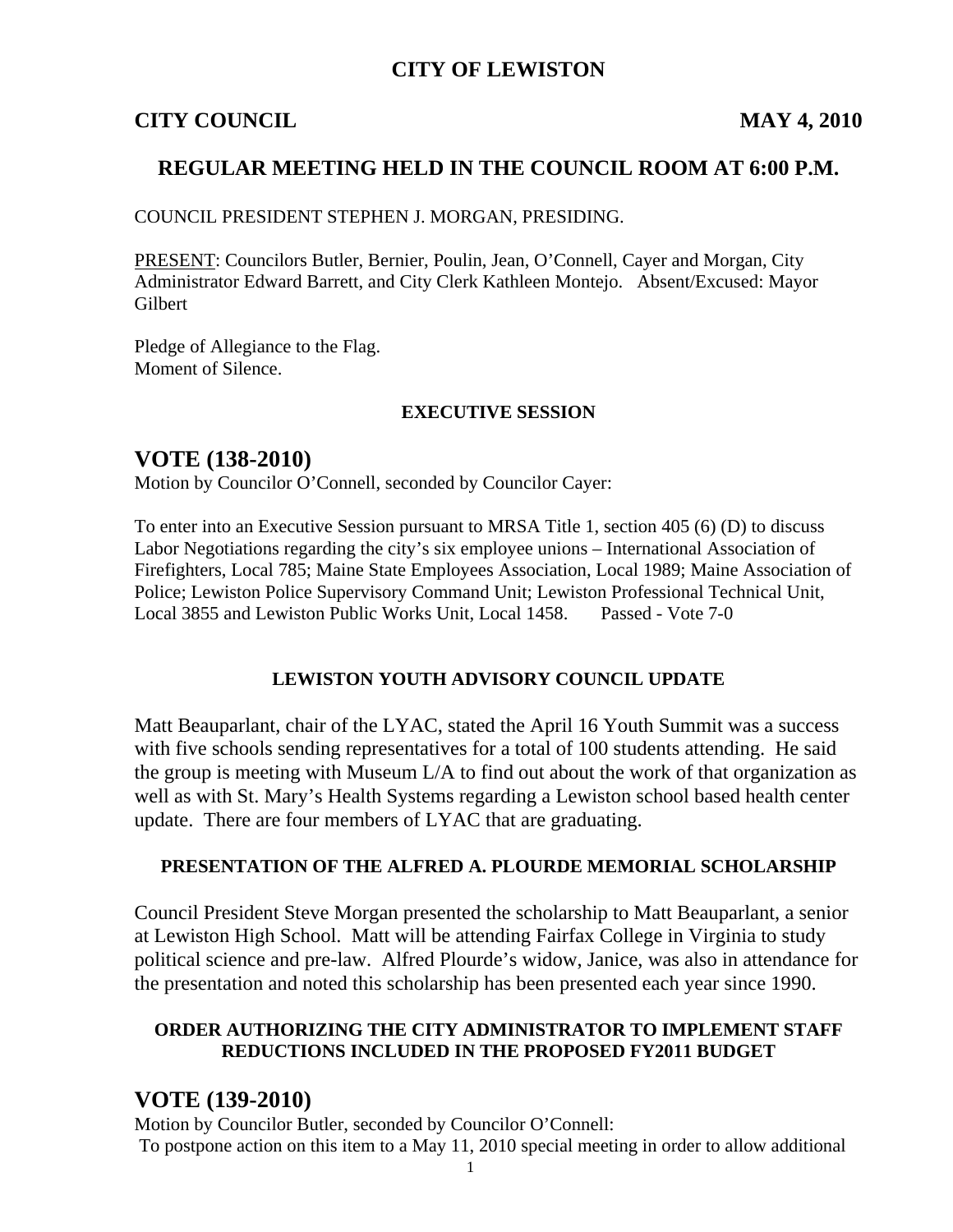## **CITY OF LEWISTON**

#### **CITY COUNCIL** MAY 4, 2010

## **REGULAR MEETING HELD IN THE COUNCIL ROOM AT 6:00 P.M.**

COUNCIL PRESIDENT STEPHEN J. MORGAN, PRESIDING.

PRESENT: Councilors Butler, Bernier, Poulin, Jean, O'Connell, Cayer and Morgan, City Administrator Edward Barrett, and City Clerk Kathleen Montejo. Absent/Excused: Mayor Gilbert

Pledge of Allegiance to the Flag. Moment of Silence.

#### **EXECUTIVE SESSION**

## **VOTE (138-2010)**

Motion by Councilor O'Connell, seconded by Councilor Cayer:

To enter into an Executive Session pursuant to MRSA Title 1, section 405 (6) (D) to discuss Labor Negotiations regarding the city's six employee unions – International Association of Firefighters, Local 785; Maine State Employees Association, Local 1989; Maine Association of Police; Lewiston Police Supervisory Command Unit; Lewiston Professional Technical Unit, Local 3855 and Lewiston Public Works Unit, Local 1458. Passed - Vote 7-0

#### **LEWISTON YOUTH ADVISORY COUNCIL UPDATE**

Matt Beauparlant, chair of the LYAC, stated the April 16 Youth Summit was a success with five schools sending representatives for a total of 100 students attending. He said the group is meeting with Museum L/A to find out about the work of that organization as well as with St. Mary's Health Systems regarding a Lewiston school based health center update. There are four members of LYAC that are graduating.

#### **PRESENTATION OF THE ALFRED A. PLOURDE MEMORIAL SCHOLARSHIP**

Council President Steve Morgan presented the scholarship to Matt Beauparlant, a senior at Lewiston High School. Matt will be attending Fairfax College in Virginia to study political science and pre-law. Alfred Plourde's widow, Janice, was also in attendance for the presentation and noted this scholarship has been presented each year since 1990.

#### **ORDER AUTHORIZING THE CITY ADMINISTRATOR TO IMPLEMENT STAFF REDUCTIONS INCLUDED IN THE PROPOSED FY2011 BUDGET**

### **VOTE (139-2010)**

Motion by Councilor Butler, seconded by Councilor O'Connell: To postpone action on this item to a May 11, 2010 special meeting in order to allow additional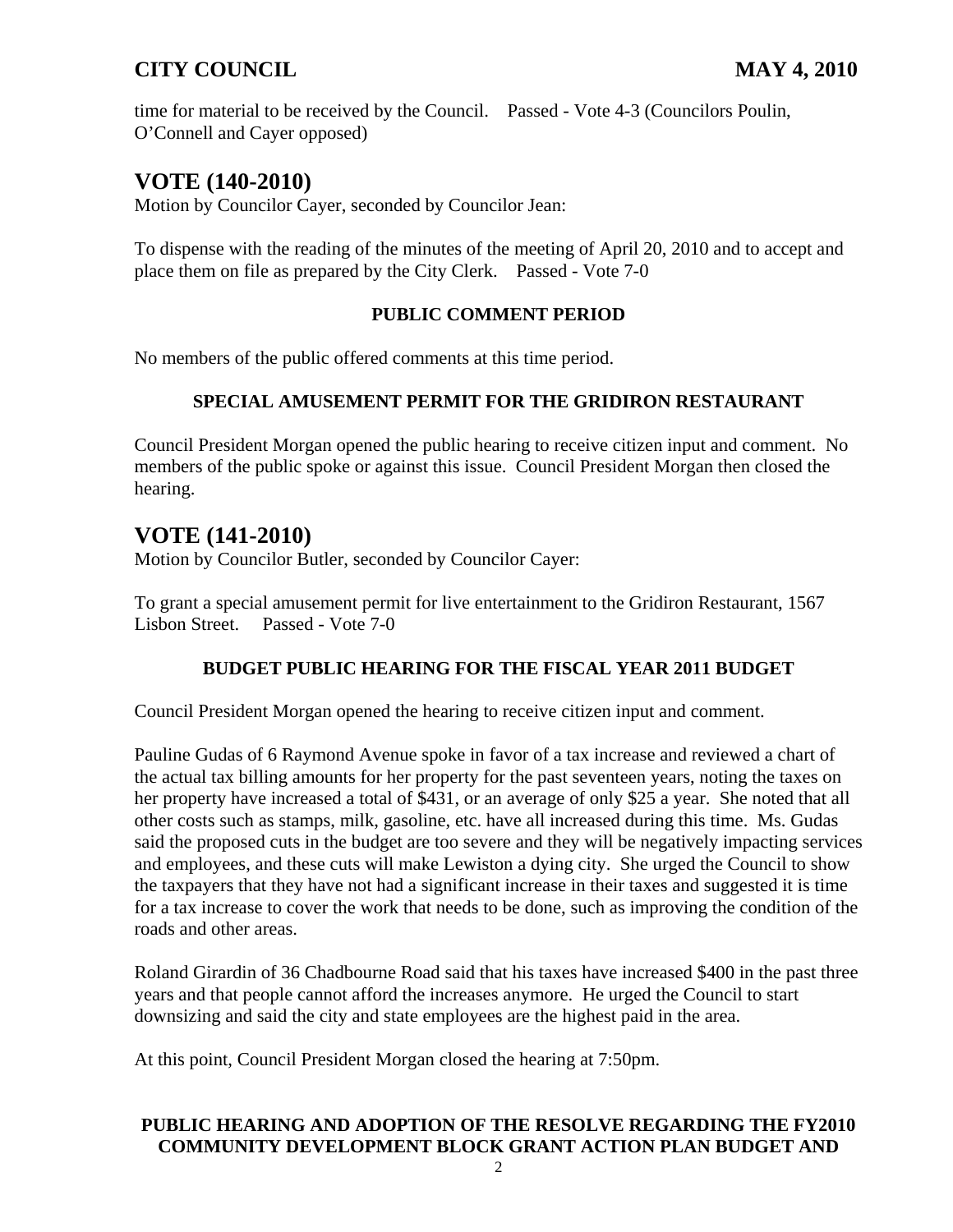time for material to be received by the Council. Passed - Vote 4-3 (Councilors Poulin, O'Connell and Cayer opposed)

# **VOTE (140-2010)**

Motion by Councilor Cayer, seconded by Councilor Jean:

To dispense with the reading of the minutes of the meeting of April 20, 2010 and to accept and place them on file as prepared by the City Clerk. Passed - Vote 7-0

### **PUBLIC COMMENT PERIOD**

No members of the public offered comments at this time period.

## **SPECIAL AMUSEMENT PERMIT FOR THE GRIDIRON RESTAURANT**

Council President Morgan opened the public hearing to receive citizen input and comment. No members of the public spoke or against this issue. Council President Morgan then closed the hearing.

# **VOTE (141-2010)**

Motion by Councilor Butler, seconded by Councilor Cayer:

To grant a special amusement permit for live entertainment to the Gridiron Restaurant, 1567 Lisbon Street. Passed - Vote 7-0

## **BUDGET PUBLIC HEARING FOR THE FISCAL YEAR 2011 BUDGET**

Council President Morgan opened the hearing to receive citizen input and comment.

Pauline Gudas of 6 Raymond Avenue spoke in favor of a tax increase and reviewed a chart of the actual tax billing amounts for her property for the past seventeen years, noting the taxes on her property have increased a total of \$431, or an average of only \$25 a year. She noted that all other costs such as stamps, milk, gasoline, etc. have all increased during this time. Ms. Gudas said the proposed cuts in the budget are too severe and they will be negatively impacting services and employees, and these cuts will make Lewiston a dying city. She urged the Council to show the taxpayers that they have not had a significant increase in their taxes and suggested it is time for a tax increase to cover the work that needs to be done, such as improving the condition of the roads and other areas.

Roland Girardin of 36 Chadbourne Road said that his taxes have increased \$400 in the past three years and that people cannot afford the increases anymore. He urged the Council to start downsizing and said the city and state employees are the highest paid in the area.

At this point, Council President Morgan closed the hearing at 7:50pm.

## **PUBLIC HEARING AND ADOPTION OF THE RESOLVE REGARDING THE FY2010 COMMUNITY DEVELOPMENT BLOCK GRANT ACTION PLAN BUDGET AND**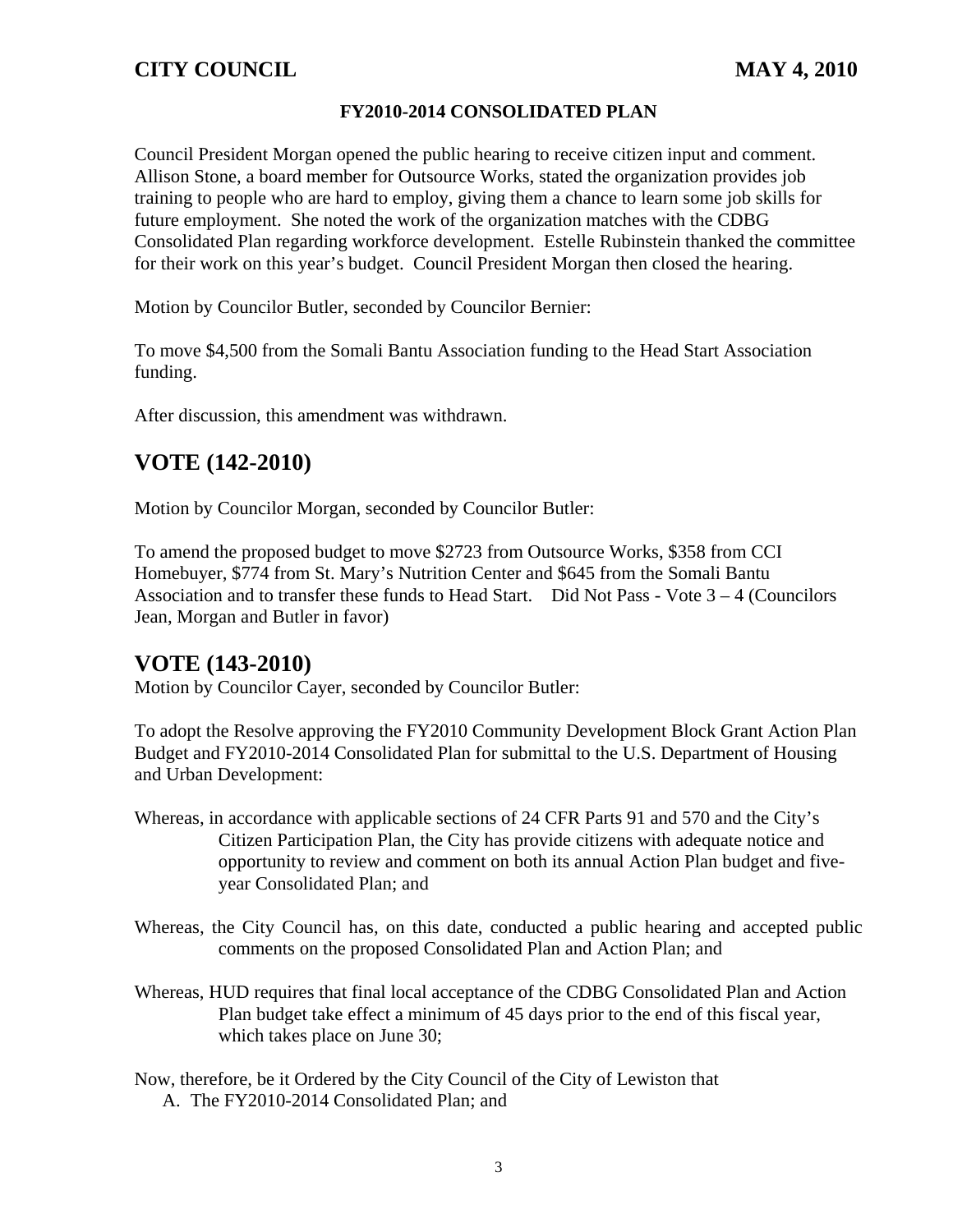#### **FY2010-2014 CONSOLIDATED PLAN**

Council President Morgan opened the public hearing to receive citizen input and comment. Allison Stone, a board member for Outsource Works, stated the organization provides job training to people who are hard to employ, giving them a chance to learn some job skills for future employment. She noted the work of the organization matches with the CDBG Consolidated Plan regarding workforce development. Estelle Rubinstein thanked the committee for their work on this year's budget. Council President Morgan then closed the hearing.

Motion by Councilor Butler, seconded by Councilor Bernier:

To move \$4,500 from the Somali Bantu Association funding to the Head Start Association funding.

After discussion, this amendment was withdrawn.

# **VOTE (142-2010)**

Motion by Councilor Morgan, seconded by Councilor Butler:

To amend the proposed budget to move \$2723 from Outsource Works, \$358 from CCI Homebuyer, \$774 from St. Mary's Nutrition Center and \$645 from the Somali Bantu Association and to transfer these funds to Head Start. Did Not Pass - Vote 3 – 4 (Councilors Jean, Morgan and Butler in favor)

## **VOTE (143-2010)**

Motion by Councilor Cayer, seconded by Councilor Butler:

To adopt the Resolve approving the FY2010 Community Development Block Grant Action Plan Budget and FY2010-2014 Consolidated Plan for submittal to the U.S. Department of Housing and Urban Development:

- Whereas, in accordance with applicable sections of 24 CFR Parts 91 and 570 and the City's Citizen Participation Plan, the City has provide citizens with adequate notice and opportunity to review and comment on both its annual Action Plan budget and fiveyear Consolidated Plan; and
- Whereas, the City Council has, on this date, conducted a public hearing and accepted public comments on the proposed Consolidated Plan and Action Plan; and
- Whereas, HUD requires that final local acceptance of the CDBG Consolidated Plan and Action Plan budget take effect a minimum of 45 days prior to the end of this fiscal year, which takes place on June 30;
- Now, therefore, be it Ordered by the City Council of the City of Lewiston that A. The FY2010-2014 Consolidated Plan; and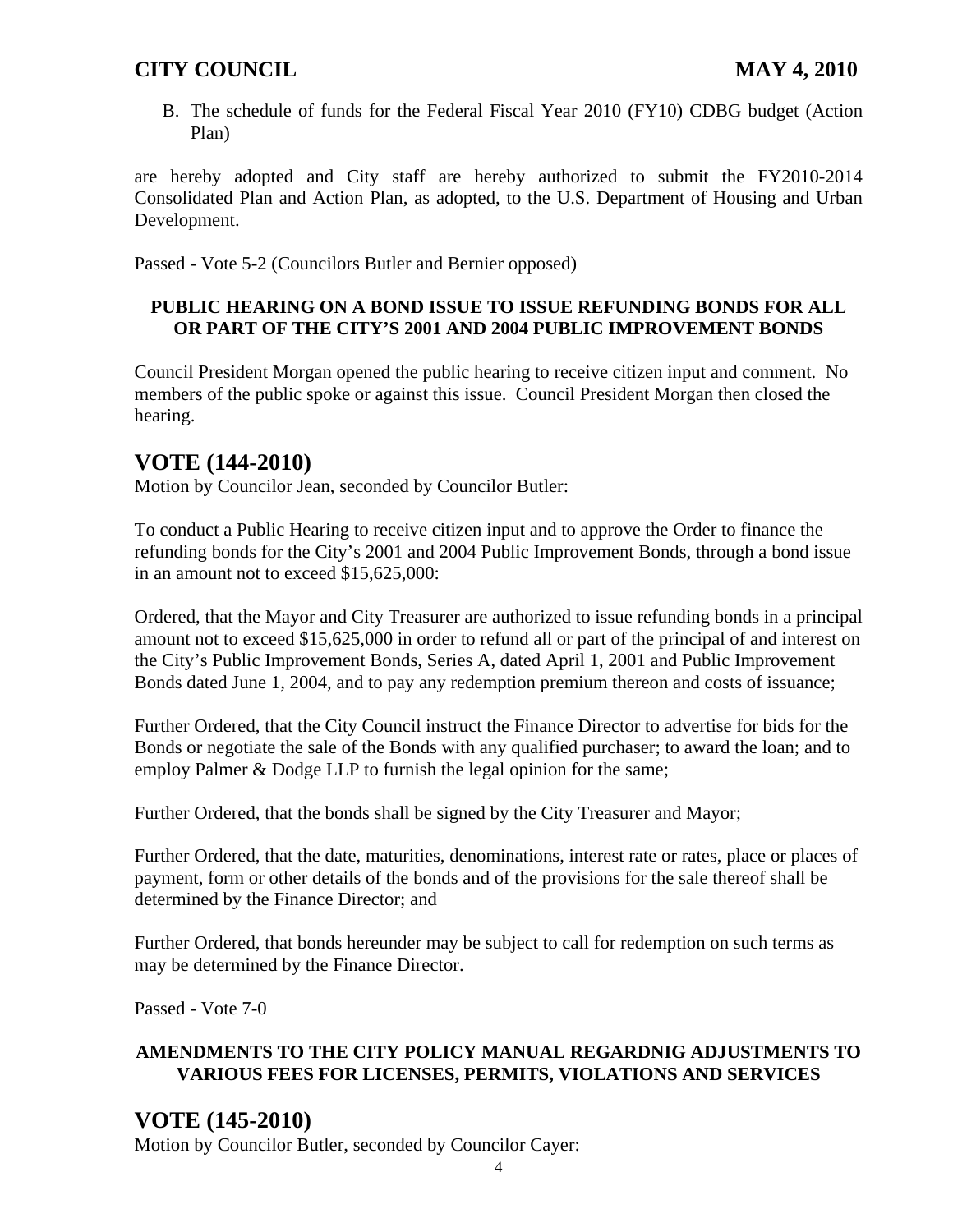B. The schedule of funds for the Federal Fiscal Year 2010 (FY10) CDBG budget (Action Plan)

are hereby adopted and City staff are hereby authorized to submit the FY2010-2014 Consolidated Plan and Action Plan, as adopted, to the U.S. Department of Housing and Urban Development.

Passed - Vote 5-2 (Councilors Butler and Bernier opposed)

### **PUBLIC HEARING ON A BOND ISSUE TO ISSUE REFUNDING BONDS FOR ALL OR PART OF THE CITY'S 2001 AND 2004 PUBLIC IMPROVEMENT BONDS**

Council President Morgan opened the public hearing to receive citizen input and comment. No members of the public spoke or against this issue. Council President Morgan then closed the hearing.

# **VOTE (144-2010)**

Motion by Councilor Jean, seconded by Councilor Butler:

To conduct a Public Hearing to receive citizen input and to approve the Order to finance the refunding bonds for the City's 2001 and 2004 Public Improvement Bonds, through a bond issue in an amount not to exceed \$15,625,000:

Ordered, that the Mayor and City Treasurer are authorized to issue refunding bonds in a principal amount not to exceed \$15,625,000 in order to refund all or part of the principal of and interest on the City's Public Improvement Bonds, Series A, dated April 1, 2001 and Public Improvement Bonds dated June 1, 2004, and to pay any redemption premium thereon and costs of issuance;

Further Ordered, that the City Council instruct the Finance Director to advertise for bids for the Bonds or negotiate the sale of the Bonds with any qualified purchaser; to award the loan; and to employ Palmer & Dodge LLP to furnish the legal opinion for the same;

Further Ordered, that the bonds shall be signed by the City Treasurer and Mayor;

Further Ordered, that the date, maturities, denominations, interest rate or rates, place or places of payment, form or other details of the bonds and of the provisions for the sale thereof shall be determined by the Finance Director; and

Further Ordered, that bonds hereunder may be subject to call for redemption on such terms as may be determined by the Finance Director.

Passed - Vote 7-0

## **AMENDMENTS TO THE CITY POLICY MANUAL REGARDNIG ADJUSTMENTS TO VARIOUS FEES FOR LICENSES, PERMITS, VIOLATIONS AND SERVICES**

# **VOTE (145-2010)**

Motion by Councilor Butler, seconded by Councilor Cayer: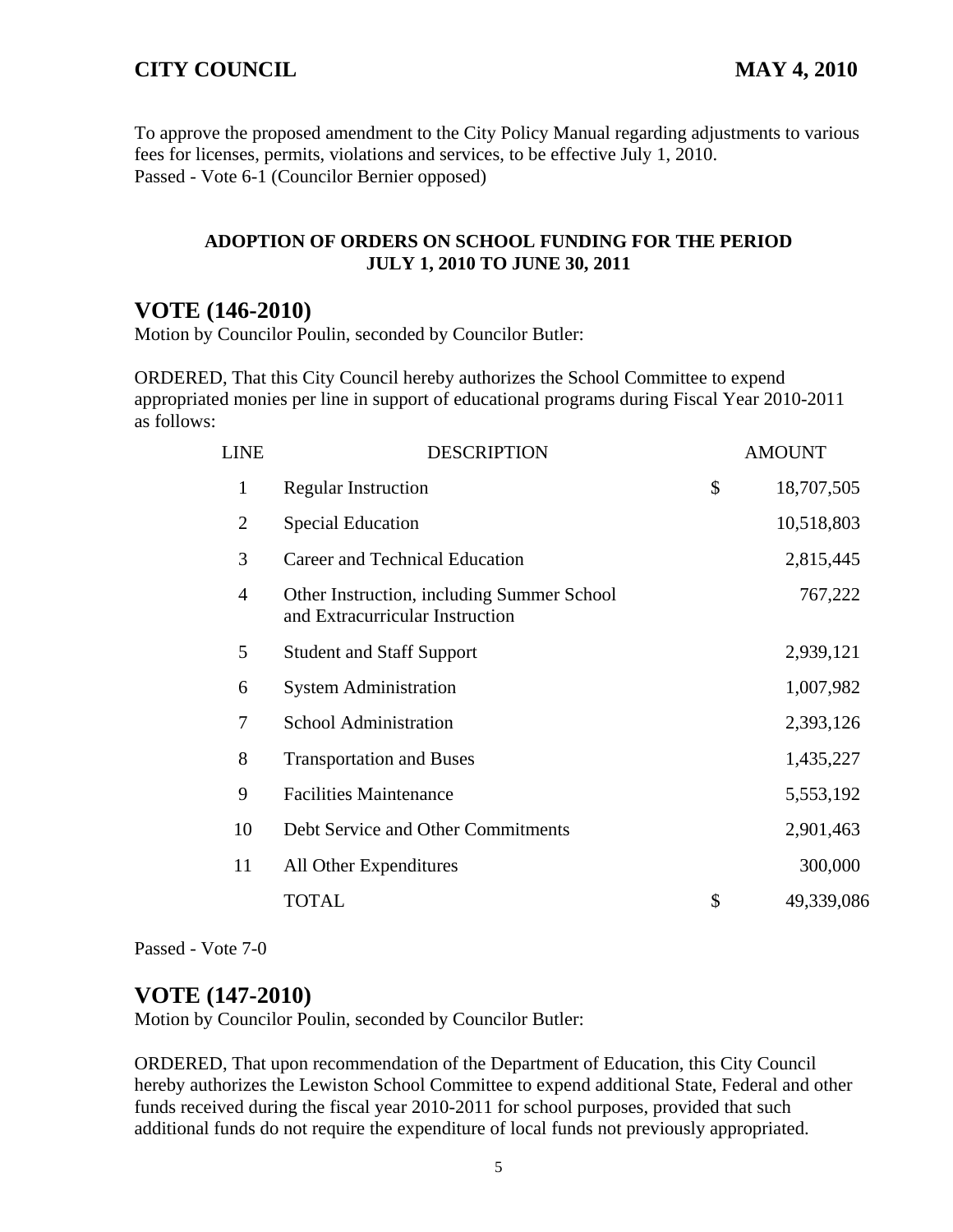To approve the proposed amendment to the City Policy Manual regarding adjustments to various fees for licenses, permits, violations and services, to be effective July 1, 2010. Passed - Vote 6-1 (Councilor Bernier opposed)

#### **ADOPTION OF ORDERS ON SCHOOL FUNDING FOR THE PERIOD JULY 1, 2010 TO JUNE 30, 2011**

## **VOTE (146-2010)**

Motion by Councilor Poulin, seconded by Councilor Butler:

ORDERED, That this City Council hereby authorizes the School Committee to expend appropriated monies per line in support of educational programs during Fiscal Year 2010-2011 as follows:

| <b>LINE</b>    | <b>DESCRIPTION</b>                                                            | <b>AMOUNT</b>    |
|----------------|-------------------------------------------------------------------------------|------------------|
| 1              | <b>Regular Instruction</b>                                                    | \$<br>18,707,505 |
| $\overline{2}$ | <b>Special Education</b>                                                      | 10,518,803       |
| 3              | Career and Technical Education                                                | 2,815,445        |
| 4              | Other Instruction, including Summer School<br>and Extracurricular Instruction | 767,222          |
| 5              | <b>Student and Staff Support</b>                                              | 2,939,121        |
| 6              | <b>System Administration</b>                                                  | 1,007,982        |
| 7              | <b>School Administration</b>                                                  | 2,393,126        |
| 8              | <b>Transportation and Buses</b>                                               | 1,435,227        |
| 9              | <b>Facilities Maintenance</b>                                                 | 5,553,192        |
| 10             | Debt Service and Other Commitments                                            | 2,901,463        |
| 11             | All Other Expenditures                                                        | 300,000          |
|                | TOTAL                                                                         | \$<br>49,339,086 |

Passed - Vote 7-0

## **VOTE (147-2010)**

Motion by Councilor Poulin, seconded by Councilor Butler:

ORDERED, That upon recommendation of the Department of Education, this City Council hereby authorizes the Lewiston School Committee to expend additional State, Federal and other funds received during the fiscal year 2010-2011 for school purposes, provided that such additional funds do not require the expenditure of local funds not previously appropriated.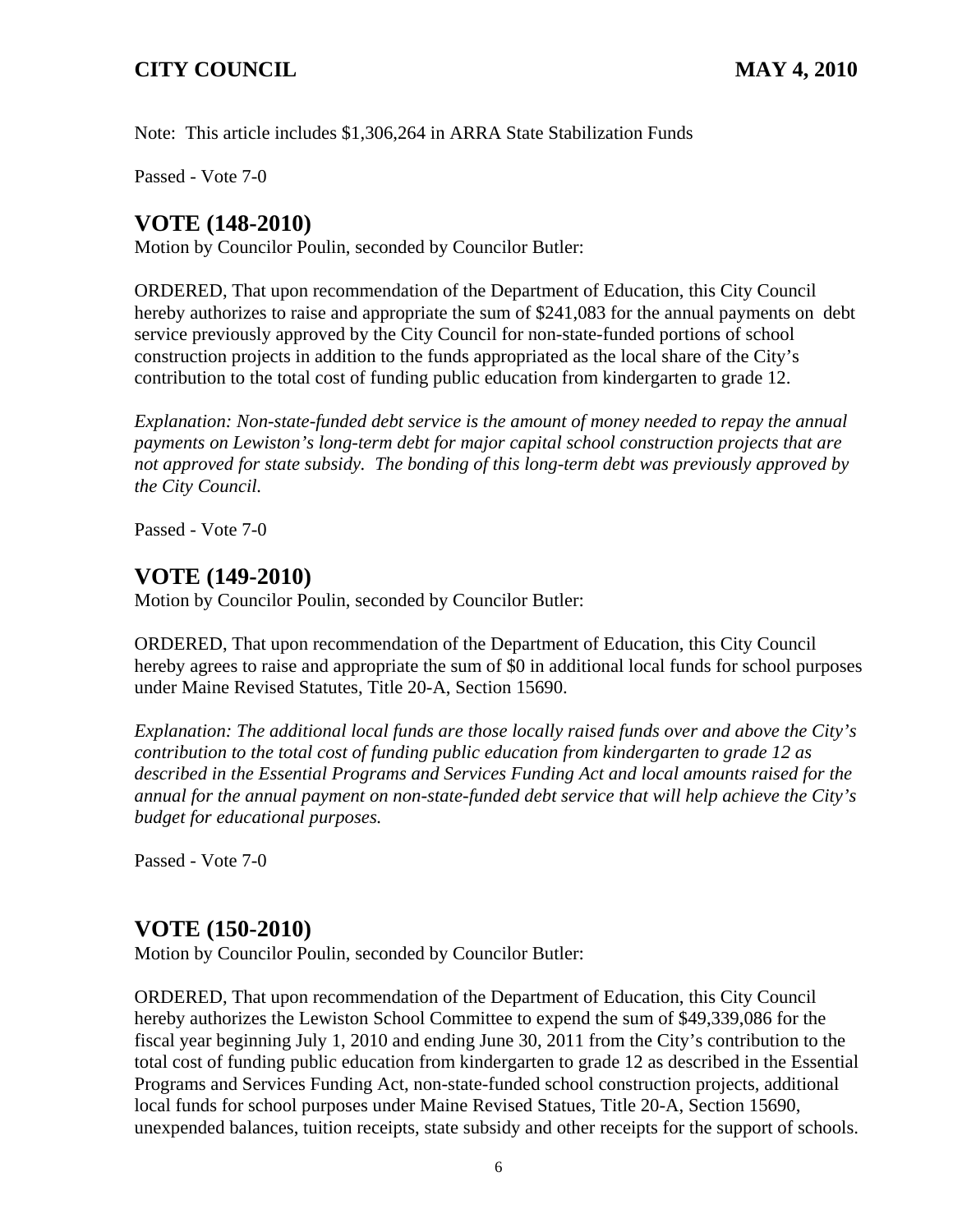Note: This article includes \$1,306,264 in ARRA State Stabilization Funds

Passed - Vote 7-0

## **VOTE (148-2010)**

Motion by Councilor Poulin, seconded by Councilor Butler:

ORDERED, That upon recommendation of the Department of Education, this City Council hereby authorizes to raise and appropriate the sum of \$241,083 for the annual payments on debt service previously approved by the City Council for non-state-funded portions of school construction projects in addition to the funds appropriated as the local share of the City's contribution to the total cost of funding public education from kindergarten to grade 12.

*Explanation: Non-state-funded debt service is the amount of money needed to repay the annual payments on Lewiston's long-term debt for major capital school construction projects that are not approved for state subsidy. The bonding of this long-term debt was previously approved by the City Council.* 

Passed - Vote 7-0

## **VOTE (149-2010)**

Motion by Councilor Poulin, seconded by Councilor Butler:

ORDERED, That upon recommendation of the Department of Education, this City Council hereby agrees to raise and appropriate the sum of \$0 in additional local funds for school purposes under Maine Revised Statutes, Title 20-A, Section 15690.

*Explanation: The additional local funds are those locally raised funds over and above the City's contribution to the total cost of funding public education from kindergarten to grade 12 as described in the Essential Programs and Services Funding Act and local amounts raised for the annual for the annual payment on non-state-funded debt service that will help achieve the City's budget for educational purposes.* 

Passed - Vote 7-0

## **VOTE (150-2010)**

Motion by Councilor Poulin, seconded by Councilor Butler:

ORDERED, That upon recommendation of the Department of Education, this City Council hereby authorizes the Lewiston School Committee to expend the sum of \$49,339,086 for the fiscal year beginning July 1, 2010 and ending June 30, 2011 from the City's contribution to the total cost of funding public education from kindergarten to grade 12 as described in the Essential Programs and Services Funding Act, non-state-funded school construction projects, additional local funds for school purposes under Maine Revised Statues, Title 20-A, Section 15690, unexpended balances, tuition receipts, state subsidy and other receipts for the support of schools.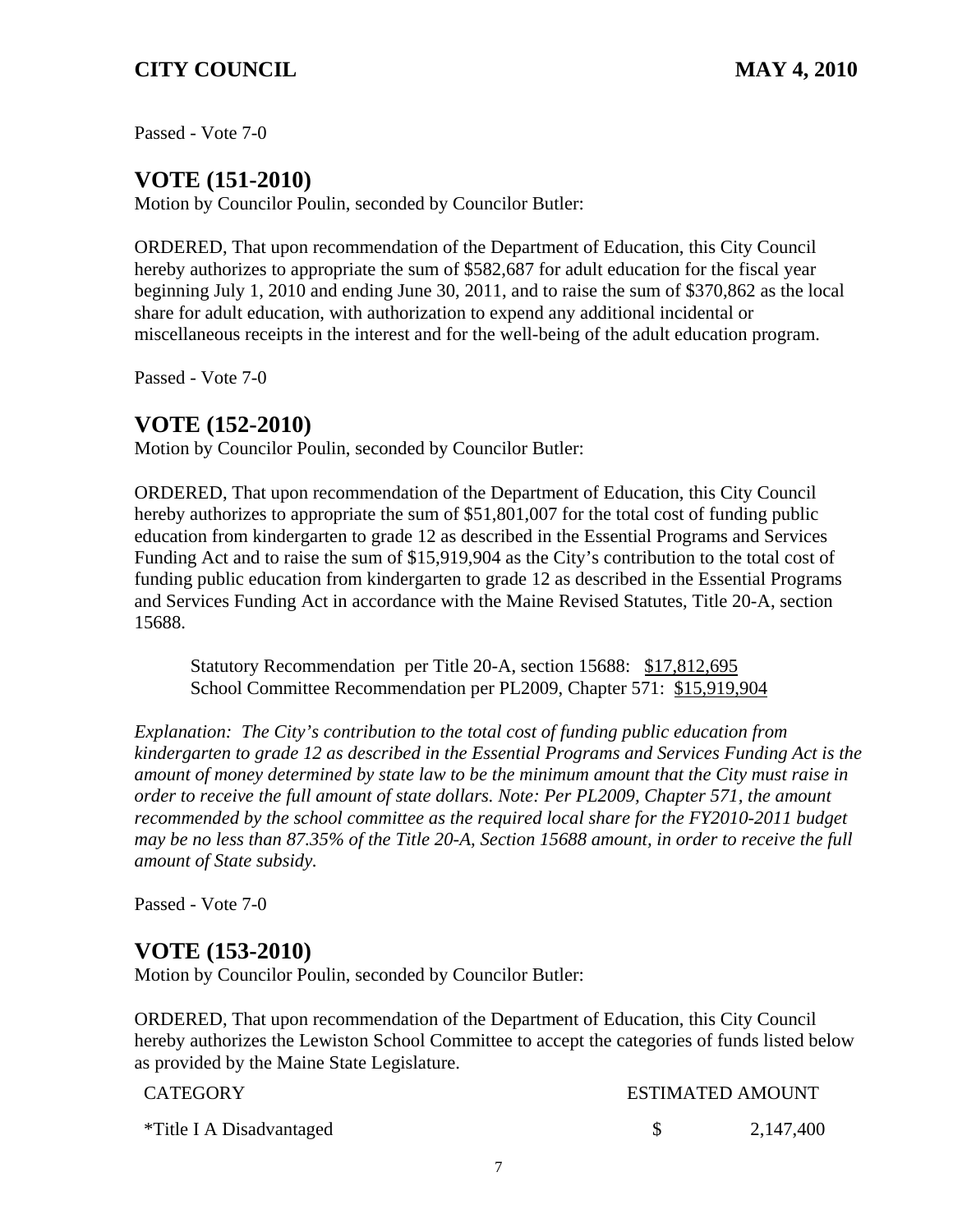Passed - Vote 7-0

# **VOTE (151-2010)**

Motion by Councilor Poulin, seconded by Councilor Butler:

ORDERED, That upon recommendation of the Department of Education, this City Council hereby authorizes to appropriate the sum of \$582,687 for adult education for the fiscal year beginning July 1, 2010 and ending June 30, 2011, and to raise the sum of \$370,862 as the local share for adult education, with authorization to expend any additional incidental or miscellaneous receipts in the interest and for the well-being of the adult education program.

Passed - Vote 7-0

## **VOTE (152-2010)**

Motion by Councilor Poulin, seconded by Councilor Butler:

ORDERED, That upon recommendation of the Department of Education, this City Council hereby authorizes to appropriate the sum of \$51,801,007 for the total cost of funding public education from kindergarten to grade 12 as described in the Essential Programs and Services Funding Act and to raise the sum of \$15,919,904 as the City's contribution to the total cost of funding public education from kindergarten to grade 12 as described in the Essential Programs and Services Funding Act in accordance with the Maine Revised Statutes, Title 20-A, section 15688.

Statutory Recommendation per Title 20-A, section 15688: \$17,812,695 School Committee Recommendation per PL2009, Chapter 571: \$15,919,904

*Explanation: The City's contribution to the total cost of funding public education from kindergarten to grade 12 as described in the Essential Programs and Services Funding Act is the amount of money determined by state law to be the minimum amount that the City must raise in order to receive the full amount of state dollars. Note: Per PL2009, Chapter 571, the amount recommended by the school committee as the required local share for the FY2010-2011 budget may be no less than 87.35% of the Title 20-A, Section 15688 amount, in order to receive the full amount of State subsidy.*

Passed - Vote 7-0

## **VOTE (153-2010)**

Motion by Councilor Poulin, seconded by Councilor Butler:

ORDERED, That upon recommendation of the Department of Education, this City Council hereby authorizes the Lewiston School Committee to accept the categories of funds listed below as provided by the Maine State Legislature.

| CATEGORY                 | <b>ESTIMATED AMOUNT</b> |           |  |
|--------------------------|-------------------------|-----------|--|
| *Title I A Disadvantaged |                         | 2,147,400 |  |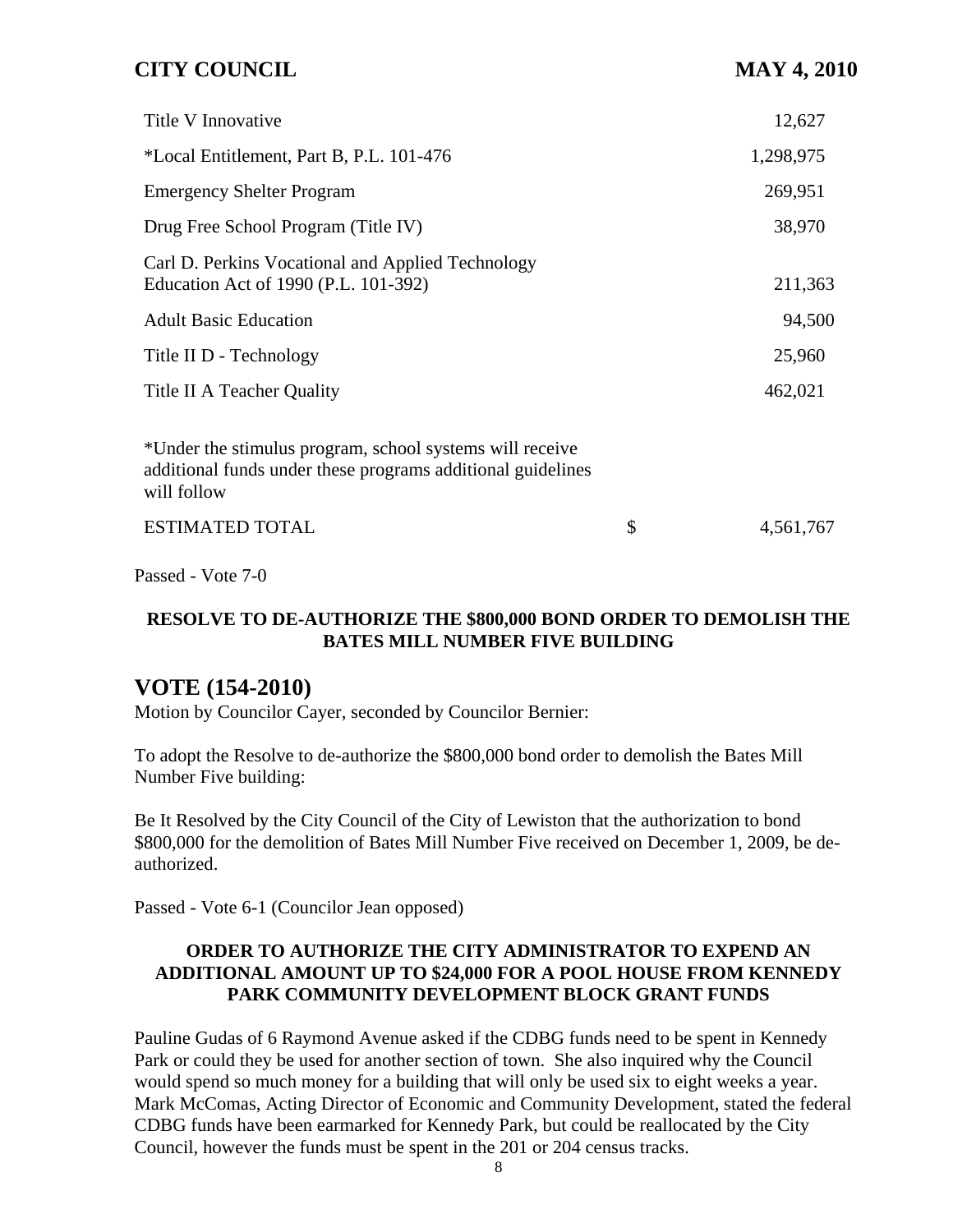| Title V Innovative                                                                                                                     | 12,627          |
|----------------------------------------------------------------------------------------------------------------------------------------|-----------------|
| *Local Entitlement, Part B, P.L. 101-476                                                                                               | 1,298,975       |
| <b>Emergency Shelter Program</b>                                                                                                       | 269,951         |
| Drug Free School Program (Title IV)                                                                                                    | 38,970          |
| Carl D. Perkins Vocational and Applied Technology<br>Education Act of 1990 (P.L. 101-392)                                              | 211,363         |
| <b>Adult Basic Education</b>                                                                                                           | 94,500          |
| Title II D - Technology                                                                                                                | 25,960          |
| Title II A Teacher Quality                                                                                                             | 462,021         |
| *Under the stimulus program, school systems will receive<br>additional funds under these programs additional guidelines<br>will follow |                 |
| <b>ESTIMATED TOTAL</b>                                                                                                                 | \$<br>4,561,767 |

Passed - Vote 7-0

## **RESOLVE TO DE-AUTHORIZE THE \$800,000 BOND ORDER TO DEMOLISH THE BATES MILL NUMBER FIVE BUILDING**

## **VOTE (154-2010)**

Motion by Councilor Cayer, seconded by Councilor Bernier:

To adopt the Resolve to de-authorize the \$800,000 bond order to demolish the Bates Mill Number Five building:

Be It Resolved by the City Council of the City of Lewiston that the authorization to bond \$800,000 for the demolition of Bates Mill Number Five received on December 1, 2009, be deauthorized.

Passed - Vote 6-1 (Councilor Jean opposed)

#### **ORDER TO AUTHORIZE THE CITY ADMINISTRATOR TO EXPEND AN ADDITIONAL AMOUNT UP TO \$24,000 FOR A POOL HOUSE FROM KENNEDY PARK COMMUNITY DEVELOPMENT BLOCK GRANT FUNDS**

Pauline Gudas of 6 Raymond Avenue asked if the CDBG funds need to be spent in Kennedy Park or could they be used for another section of town. She also inquired why the Council would spend so much money for a building that will only be used six to eight weeks a year. Mark McComas, Acting Director of Economic and Community Development, stated the federal CDBG funds have been earmarked for Kennedy Park, but could be reallocated by the City Council, however the funds must be spent in the 201 or 204 census tracks.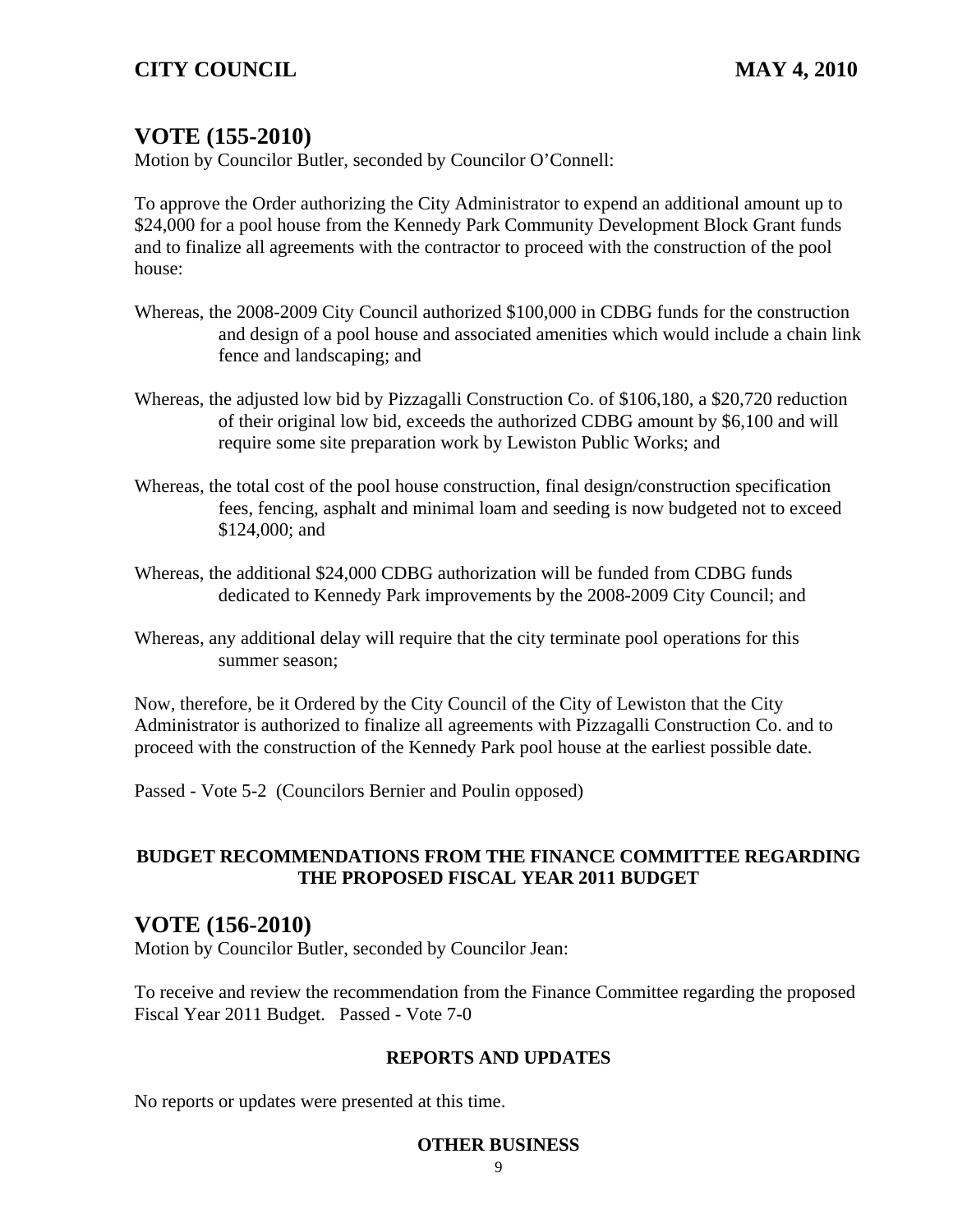# **VOTE (155-2010)**

Motion by Councilor Butler, seconded by Councilor O'Connell:

To approve the Order authorizing the City Administrator to expend an additional amount up to \$24,000 for a pool house from the Kennedy Park Community Development Block Grant funds and to finalize all agreements with the contractor to proceed with the construction of the pool house:

- Whereas, the 2008-2009 City Council authorized \$100,000 in CDBG funds for the construction and design of a pool house and associated amenities which would include a chain link fence and landscaping; and
- Whereas, the adjusted low bid by Pizzagalli Construction Co. of \$106,180, a \$20,720 reduction of their original low bid, exceeds the authorized CDBG amount by \$6,100 and will require some site preparation work by Lewiston Public Works; and
- Whereas, the total cost of the pool house construction, final design/construction specification fees, fencing, asphalt and minimal loam and seeding is now budgeted not to exceed \$124,000; and
- Whereas, the additional \$24,000 CDBG authorization will be funded from CDBG funds dedicated to Kennedy Park improvements by the 2008-2009 City Council; and
- Whereas, any additional delay will require that the city terminate pool operations for this summer season;

Now, therefore, be it Ordered by the City Council of the City of Lewiston that the City Administrator is authorized to finalize all agreements with Pizzagalli Construction Co. and to proceed with the construction of the Kennedy Park pool house at the earliest possible date.

Passed - Vote 5-2 (Councilors Bernier and Poulin opposed)

## **BUDGET RECOMMENDATIONS FROM THE FINANCE COMMITTEE REGARDING THE PROPOSED FISCAL YEAR 2011 BUDGET**

## **VOTE (156-2010)**

Motion by Councilor Butler, seconded by Councilor Jean:

To receive and review the recommendation from the Finance Committee regarding the proposed Fiscal Year 2011 Budget. Passed - Vote 7-0

### **REPORTS AND UPDATES**

No reports or updates were presented at this time.

#### **OTHER BUSINESS**